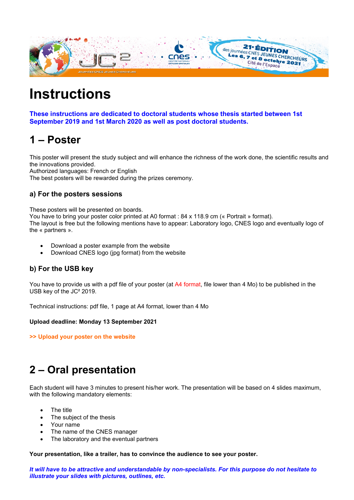

# **Instructions**

**These instructions are dedicated to doctoral students whose thesis started between 1st September 2019 and 1st March 2020 as well as post doctoral students.**

## **1 – Poster**

This poster will present the study subject and will enhance the richness of the work done, the scientific results and the innovations provided.

Authorized languages: French or English

The best posters will be rewarded during the prizes ceremony.

### **a) For the posters sessions**

These posters will be presented on boards.

You have to bring your poster color printed at A0 format : 84 x 118.9 cm (« Portrait » format).

The layout is free but the following mentions have to appear: Laboratory logo, CNES logo and eventually logo of the « partners ».

- Download a poster example from the website
- Download CNES logo (jpg format) from the website

### **b) For the USB key**

You have to provide us with a pdf file of your poster (at A4 format, file lower than 4 Mo) to be published in the USB key of the JC² 2019.

Technical instructions: pdf file, 1 page at A4 format, lower than 4 Mo

#### **Upload deadline: Monday 13 September 2021**

**>> Upload your poster on the website**

## **2 – Oral presentation**

Each student will have 3 minutes to present his/her work. The presentation will be based on 4 slides maximum, with the following mandatory elements:

- The title
- The subject of the thesis
- Your name
- The name of the CNES manager
- The laboratory and the eventual partners

**Your presentation, like a trailer, has to convince the audience to see your poster.** 

*It will have to be attractive and understandable by non-specialists. For this purpose do not hesitate to illustrate your slides with pictures, outlines, etc.*